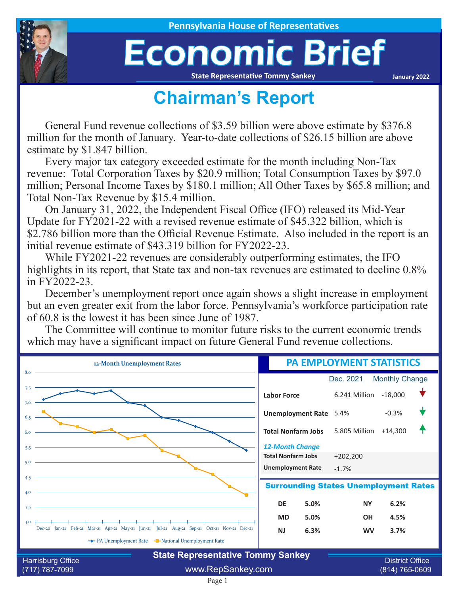

## Economic Brief

**State Representative Tommy Sankey**

**January 2022**

## **Chairman's Report**

General Fund revenue collections of \$3.59 billion were above estimate by \$376.8 million for the month of January. Year-to-date collections of \$26.15 billion are above estimate by \$1.847 billion.

Every major tax category exceeded estimate for the month including Non-Tax revenue: Total Corporation Taxes by \$20.9 million; Total Consumption Taxes by \$97.0 million; Personal Income Taxes by \$180.1 million; All Other Taxes by \$65.8 million; and Total Non-Tax Revenue by \$15.4 million.

On January 31, 2022, the Independent Fiscal Office (IFO) released its Mid-Year Update for FY2021-22 with a revised revenue estimate of \$45.322 billion, which is \$2.786 billion more than the Official Revenue Estimate. Also included in the report is an initial revenue estimate of \$43.319 billion for FY2022-23.

While FY2021-22 revenues are considerably outperforming estimates, the IFO highlights in its report, that State tax and non-tax revenues are estimated to decline 0.8% in FY2022-23.

December's unemployment report once again shows a slight increase in employment but an even greater exit from the labor force. Pennsylvania's workforce participation rate of 60.8 is the lowest it has been since June of 1987.

The Committee will continue to monitor future risks to the current economic trends which may have a significant impact on future General Fund revenue collections.



(717) 787-7099 www.RepSankey.com (814) 765-0609